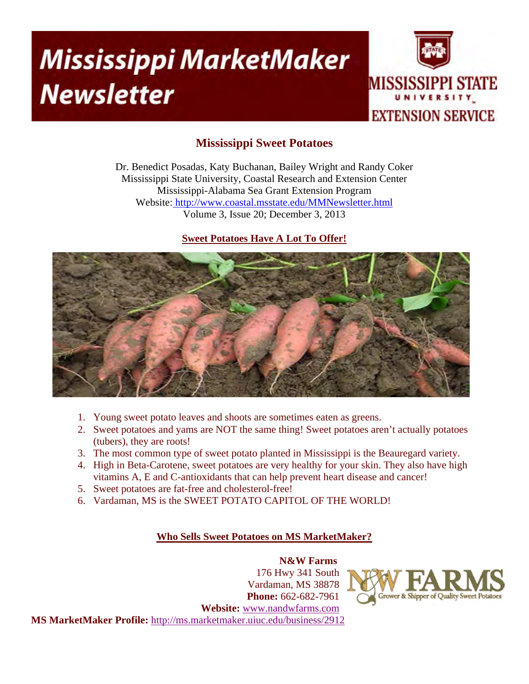# **Mississippi MarketMaker Newsletter**



# **Mississippi Sweet Potatoes**

Dr. Benedict Posadas, Katy Buchanan, Bailey Wright and Randy Coker Mississippi State University, Coastal Research and Extension Center Mississippi-Alabama Sea Grant Extension Program Website: http://www.coastal.msstate.edu/MMNewsletter.html Volume 3, Issue 20; December 3, 2013

## **Sweet Potatoes Have A Lot To Offer!**



- 1. Young sweet potato leaves and shoots are sometimes eaten as greens.
- 2. Sweet potatoes and yams are NOT the same thing! Sweet potatoes aren't actually potatoes (tubers), they are roots!
- 3. The most common type of sweet potato planted in Mississippi is the Beauregard variety.
- 4. High in Beta-Carotene, sweet potatoes are very healthy for your skin. They also have high vitamins A, E and C-antioxidants that can help prevent heart disease and cancer!
- 5. Sweet potatoes are fat-free and cholesterol-free!
- 6. Vardaman, MS is the SWEET POTATO CAPITOL OF THE WORLD!

# **Who Sells Sweet Potatoes on MS MarketMaker?**

 **N&W Farms**  176 Hwy 341 South Vardaman, MS 38878 **Phone:** 662-682-7961 **Website:** www.nandwfarms.com **MS MarketMaker Profile:** http://ms.marketmaker.uiuc.edu/business/2912